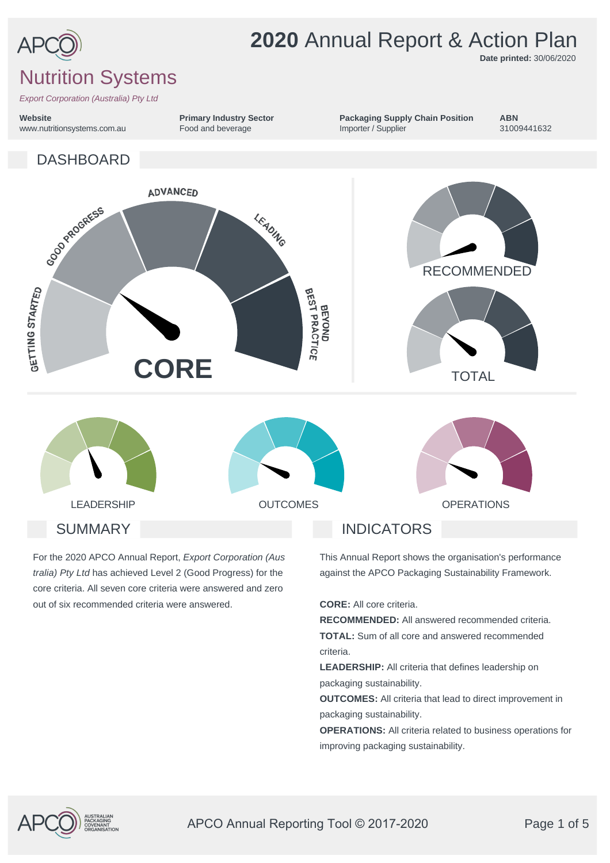

**Website**

# **2020** Annual Report & Action Plan

**Date printed:** 30/06/2020

**ABN**

## Nutrition Systems

*Export Corporation (Australia) Pty Ltd*



**Primary Industry Sector**

For the 2020 APCO Annual Report, *Export Corporation (Aus tralia) Pty Ltd* has achieved Level 2 (Good Progress) for the core criteria. All seven core criteria were answered and zero out of six recommended criteria were answered.

This Annual Report shows the organisation's performance against the APCO Packaging Sustainability Framework.

**CORE:** All core criteria.

**RECOMMENDED:** All answered recommended criteria. **TOTAL:** Sum of all core and answered recommended criteria.

**LEADERSHIP:** All criteria that defines leadership on packaging sustainability.

**OUTCOMES:** All criteria that lead to direct improvement in packaging sustainability.

**OPERATIONS:** All criteria related to business operations for improving packaging sustainability.



APCO Annual Reporting Tool © 2017-2020 Page 1 of 5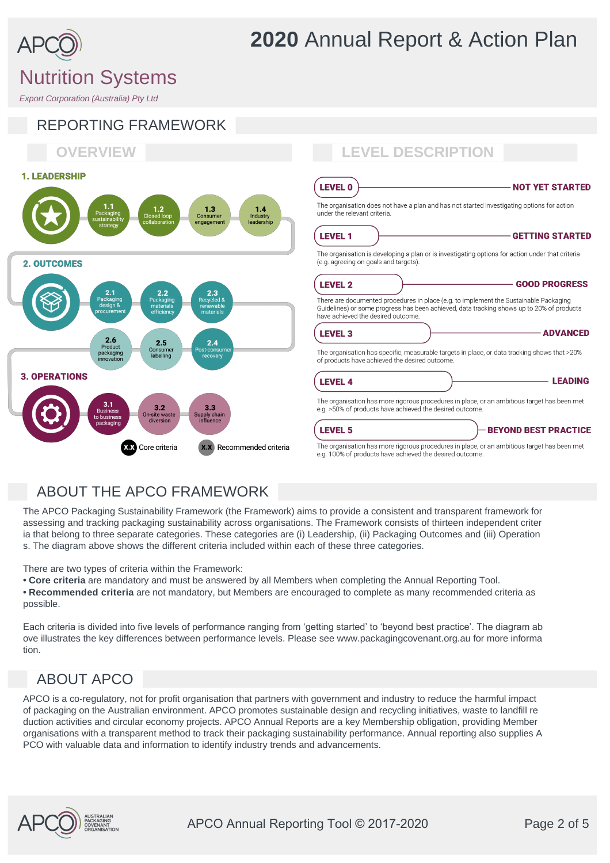

# $2.6$  $2.5$ Product<br>ackaging<br>movatior Consum **3. OPERATIONS**  $3.2$ **XeX** Core criteria **X.X** Recommended criteria

| <b>LEVEL 0</b><br><b>NOT YET STARTED</b>                                                                                                                                                                                 |                 |
|--------------------------------------------------------------------------------------------------------------------------------------------------------------------------------------------------------------------------|-----------------|
| The organisation does not have a plan and has not started investigating options for action<br>under the relevant criteria.                                                                                               |                 |
| <b>LEVEL 1</b><br><b>GETTING STARTED</b>                                                                                                                                                                                 |                 |
| The organisation is developing a plan or is investigating options for action under that criteria<br>(e.g. agreeing on goals and targets).                                                                                |                 |
| <b>LEVEL 2</b><br><b>GOOD PROGRESS</b>                                                                                                                                                                                   |                 |
| There are documented procedures in place (e.g. to implement the Sustainable Packaging<br>Guidelines) or some progress has been achieved, data tracking shows up to 20% of products<br>have achieved the desired outcome. |                 |
| <b>LEVEL 3</b>                                                                                                                                                                                                           | <b>ADVANCED</b> |
| The organisation has specific, measurable targets in place, or data tracking shows that >20%<br>of products have achieved the desired outcome.                                                                           |                 |
| <b>LEVEL 4</b>                                                                                                                                                                                                           | <b>LEADING</b>  |
| The organisation has more rigorous procedures in place, or an ambitious target has been met<br>e.g. >50% of products have achieved the desired outcome.                                                                  |                 |
| <b>LEVEL 5</b><br><b>BEYOND BEST PRACTICE</b>                                                                                                                                                                            |                 |
| The organisation has more rigorous procedures in place, or an ambitious target has been met<br>e.g. 100% of products have achieved the desired outcome.                                                                  |                 |

## ABOUT THE APCO FRAMEWORK

The APCO Packaging Sustainability Framework (the Framework) aims to provide a consistent and transparent framework for assessing and tracking packaging sustainability across organisations. The Framework consists of thirteen independent criter ia that belong to three separate categories. These categories are (i) Leadership, (ii) Packaging Outcomes and (iii) Operation s. The diagram above shows the different criteria included within each of these three categories.

There are two types of criteria within the Framework:

- **Core criteria** are mandatory and must be answered by all Members when completing the Annual Reporting Tool.
- **Recommended criteria** are not mandatory, but Members are encouraged to complete as many recommended criteria as possible.

Each criteria is divided into five levels of performance ranging from 'getting started' to 'beyond best practice'. The diagram ab ove illustrates the key differences between performance levels. Please see www.packagingcovenant.org.au for more informa tion.

## ABOUT APCO

APCO is a co-regulatory, not for profit organisation that partners with government and industry to reduce the harmful impact of packaging on the Australian environment. APCO promotes sustainable design and recycling initiatives, waste to landfill re duction activities and circular economy projects. APCO Annual Reports are a key Membership obligation, providing Member organisations with a transparent method to track their packaging sustainability performance. Annual reporting also supplies A PCO with valuable data and information to identify industry trends and advancements.



# **2020** Annual Report & Action Plan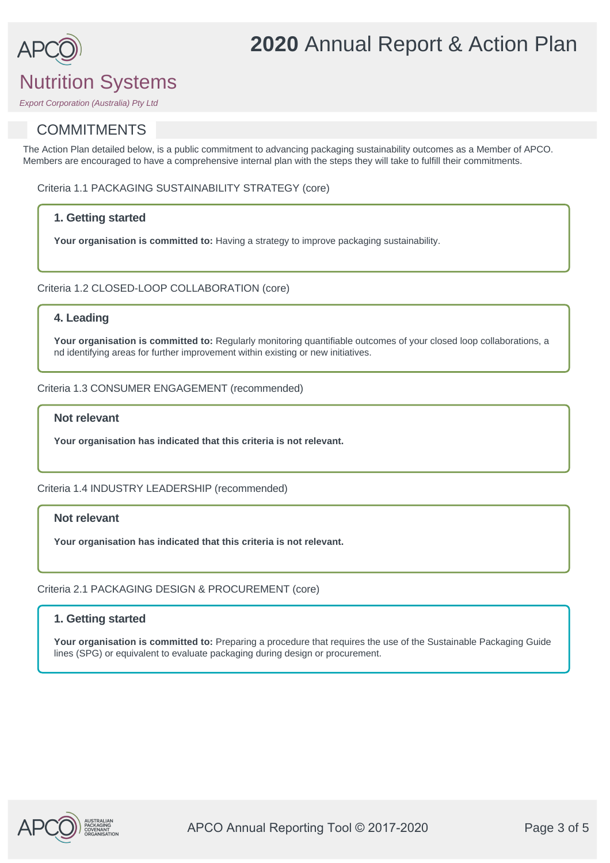# **2020** Annual Report & Action Plan

# Nutrition Systems

*Export Corporation (Australia) Pty Ltd*

## **COMMITMENTS**

The Action Plan detailed below, is a public commitment to advancing packaging sustainability outcomes as a Member of APCO. Members are encouraged to have a comprehensive internal plan with the steps they will take to fulfill their commitments.

Criteria 1.1 PACKAGING SUSTAINABILITY STRATEGY (core)

## **1. Getting started**

**Your organisation is committed to:** Having a strategy to improve packaging sustainability.

Criteria 1.2 CLOSED-LOOP COLLABORATION (core)

## **4. Leading**

Your organisation is committed to: Regularly monitoring quantifiable outcomes of your closed loop collaborations, a nd identifying areas for further improvement within existing or new initiatives.

## Criteria 1.3 CONSUMER ENGAGEMENT (recommended)

### **Not relevant**

**Your organisation has indicated that this criteria is not relevant.**

### Criteria 1.4 INDUSTRY LEADERSHIP (recommended)

## **Not relevant**

**Your organisation has indicated that this criteria is not relevant.**

## Criteria 2.1 PACKAGING DESIGN & PROCUREMENT (core)

## **1. Getting started**

**Your organisation is committed to:** Preparing a procedure that requires the use of the Sustainable Packaging Guide lines (SPG) or equivalent to evaluate packaging during design or procurement.

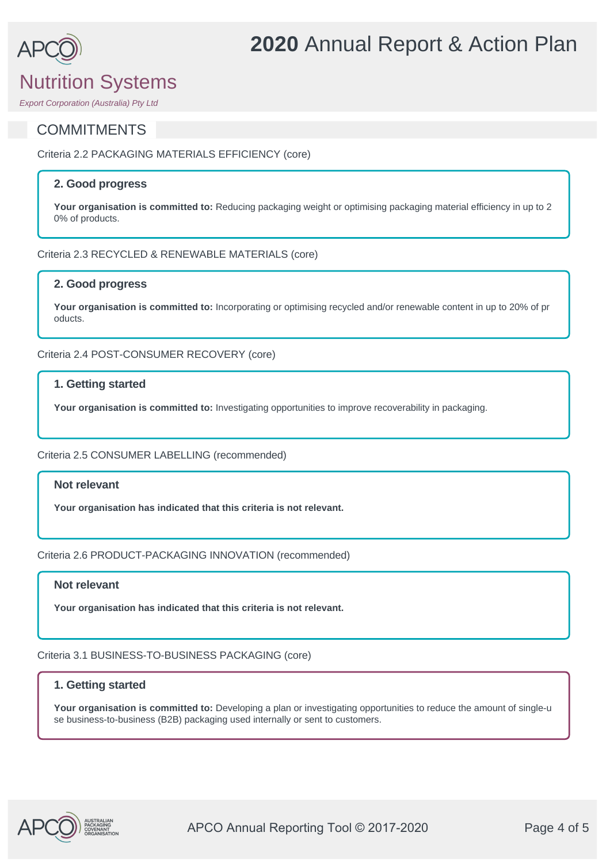# Nutrition Systems

## **COMMITMENTS**

Criteria 2.2 PACKAGING MATERIALS EFFICIENCY (core)

## **2. Good progress**

**Your organisation is committed to:** Reducing packaging weight or optimising packaging material efficiency in up to 2 0% of products.

**2020** Annual Report & Action Plan

Criteria 2.3 RECYCLED & RENEWABLE MATERIALS (core)

## **2. Good progress**

**Your organisation is committed to:** Incorporating or optimising recycled and/or renewable content in up to 20% of pr oducts.

Criteria 2.4 POST-CONSUMER RECOVERY (core)

## **1. Getting started**

**Your organisation is committed to:** Investigating opportunities to improve recoverability in packaging.

Criteria 2.5 CONSUMER LABELLING (recommended)

## **Not relevant**

**Your organisation has indicated that this criteria is not relevant.**

Criteria 2.6 PRODUCT-PACKAGING INNOVATION (recommended)

## **Not relevant**

**Your organisation has indicated that this criteria is not relevant.**

Criteria 3.1 BUSINESS-TO-BUSINESS PACKAGING (core)

## **1. Getting started**

**Your organisation is committed to:** Developing a plan or investigating opportunities to reduce the amount of single-u se business-to-business (B2B) packaging used internally or sent to customers.